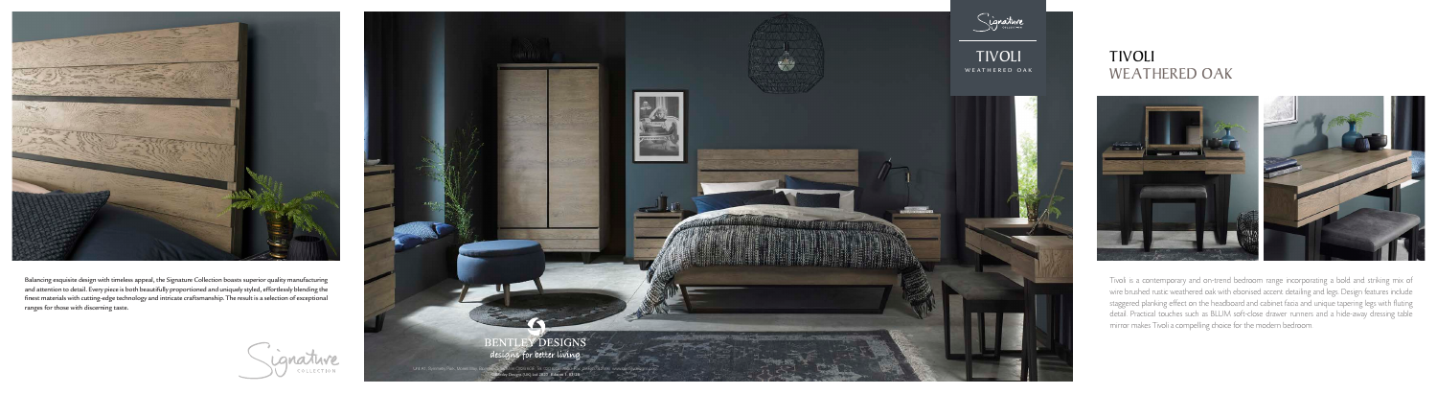

## WEATHERED OAK





Balancing exquisite design with timeless appeal, the Signature Collection boasts superior quality manufacturing and attention to detail. Every piece is both beautifully proportioned and uniquely styled, effortlessly blending the finest materials with cutting-edge technology and intricate craftsmanship. The result is a selection of exceptional ranges for those with discerning taste.



Tivoli is a contemporary and on-trend bedroom range incorporating a bold and striking mix of wire brushed rustic weathered oak with ebonised accent detailing and legs. Design features include staggered planking effect on the headboard and cabinet facia and unique tapering legs with fluting detail. Practical touches such as BLUM soft-close drawer runners and a hide-away dressing table mirror makes Tivoli a compelling choice for the modern bedroom.